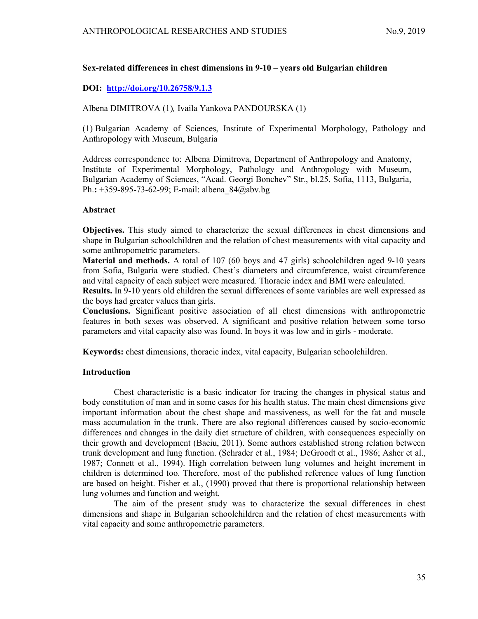## Sex-related differences in chest dimensions in 9-10 – years old Bulgarian children

# DOI: http://doi.org/10.26758/9.1.3

## Albena DIMITROVA (1), Ivaila Yankova PANDOURSKA (1)

(1) Bulgarian Academy of Sciences, Institute of Experimental Morphology, Pathology and Anthropology with Museum, Bulgaria

Address correspondence to: Albena Dimitrova, Department of Anthropology and Anatomy, Institute of Experimental Morphology, Pathology and Anthropology with Museum, Bulgarian Academy of Sciences, "Acad. Georgi Bonchev" Str., bl.25, Sofia, 1113, Bulgaria, Ph.: +359-895-73-62-99; E-mail: albena 84@abv.bg

## Abstract

Objectives. This study aimed to characterize the sexual differences in chest dimensions and shape in Bulgarian schoolchildren and the relation of chest measurements with vital capacity and some anthropometric parameters.

Material and methods. A total of 107 (60 boys and 47 girls) schoolchildren aged 9-10 years from Sofia, Bulgaria were studied. Chest's diameters and circumference, waist circumference and vital capacity of each subject were measured. Thoracic index and BMI were calculated.

Results. In 9-10 years old children the sexual differences of some variables are well expressed as the boys had greater values than girls.

Conclusions. Significant positive association of all chest dimensions with anthropometric features in both sexes was observed. A significant and positive relation between some torso parameters and vital capacity also was found. In boys it was low and in girls - moderate.

Keywords: chest dimensions, thoracic index, vital capacity, Bulgarian schoolchildren.

### **Introduction**

Chest characteristic is a basic indicator for tracing the changes in physical status and body constitution of man and in some cases for his health status. The main chest dimensions give important information about the chest shape and massiveness, as well for the fat and muscle mass accumulation in the trunk. There are also regional differences caused by socio-economic differences and changes in the daily diet structure of children, with consequences especially on their growth and development (Baciu, 2011). Some authors established strong relation between trunk development and lung function. (Schrader et al., 1984; DeGroodt et al., 1986; Asher et al., 1987; Connett et al., 1994). High correlation between lung volumes and height increment in children is determined too. Therefore, most of the published reference values of lung function are based on height. Fisher et al., (1990) proved that there is proportional relationship between lung volumes and function and weight.

The aim of the present study was to characterize the sexual differences in chest dimensions and shape in Bulgarian schoolchildren and the relation of chest measurements with vital capacity and some anthropometric parameters.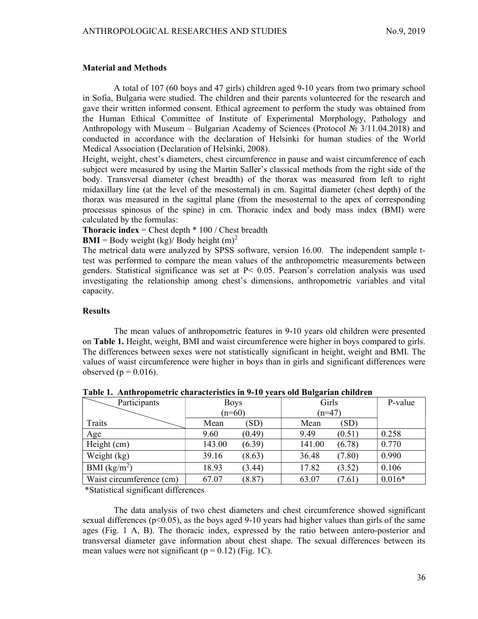#### Material and Methods

A total of 107 (60 boys and 47 girls) children aged 9-10 years from two primary school in Sofia, Bulgaria were studied. The children and their parents volunteered for the research and gave their written informed consent. Ethical agreement to perform the study was obtained from the Human Ethical Committee of Institute of Experimental Morphology, Pathology and Anthropology with Museum – Bulgarian Academy of Sciences (Protocol № 3/11.04.2018) and conducted in accordance with the declaration of Helsinki for human studies of the World Medical Association (Declaration of Helsinki, 2008).

Height, weight, chest's diameters, chest circumference in pause and waist circumference of each subject were measured by using the Martin Saller's classical methods from the right side of the body. Transversal diameter (chest breadth) of the thorax was measured from left to right midaxillary line (at the level of the mesosternal) in cm. Sagittal diameter (chest depth) of the thorax was measured in the sagittal plane (from the mesosternal to the apex of corresponding processus spinosus of the spine) in cm. Thoracic index and body mass index (BMI) were calculated by the formulas:

**Thoracic index** = Chest depth  $*$  100 / Chest breadth

**BMI** = Body weight (kg)/ Body height  $(m)^2$ 

The metrical data were analyzed by SPSS software, version 16.00. The independent sample ttest was performed to compare the mean values of the anthropometric measurements between genders. Statistical significance was set at P< 0.05. Pearson's correlation analysis was used investigating the relationship among chest's dimensions, anthropometric variables and vital capacity.

#### Results

The mean values of anthropometric features in 9-10 years old children were presented on Table 1. Height, weight, BMI and waist circumference were higher in boys compared to girls. The differences between sexes were not statistically significant in height, weight and BMI. The values of waist circumference were higher in boys than in girls and significant differences were observed ( $p = 0.016$ ).

| Participants             | <b>Boys</b> |        | Girls    | P-value |          |
|--------------------------|-------------|--------|----------|---------|----------|
|                          | $(n=60)$    |        | $(n=47)$ |         |          |
| Traits                   | Mean        | (SD)   | Mean     | (SD)    |          |
| Age                      | 9.60        | (0.49) | 9.49     | (0.51)  | 0.258    |
| Height (cm)              | 143.00      | (6.39) | 141.00   | (6.78)  | 0.770    |
| Weight (kg)              | 39.16       | (8.63) | 36.48    | (7.80)  | 0.990    |
| BMI $(kg/m2)$            | 18.93       | (3.44) | 17.82    | (3.52)  | 0.106    |
| Waist circumference (cm) | 67.07       | (8.87) | 63.07    | (7.61)  | $0.016*$ |

Table 1. Anthropometric characteristics in 9-10 years old Bulgarian children

\*Statistical significant differences

The data analysis of two chest diameters and chest circumference showed significant sexual differences ( $p<0.05$ ), as the boys aged 9-10 years had higher values than girls of the same ages (Fig. 1 A, B). The thoracic index, expressed by the ratio between antero-posterior and transversal diameter gave information about chest shape. The sexual differences between its mean values were not significant ( $p = 0.12$ ) (Fig. 1C).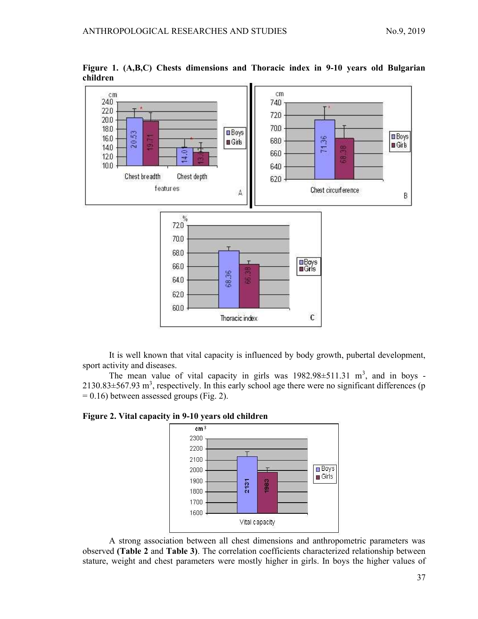Figure 1. (A,B,C) Chests dimensions and Thoracic index in 9-10 years old Bulgarian children



It is well known that vital capacity is influenced by body growth, pubertal development, sport activity and diseases.

The mean value of vital capacity in girls was  $1982.98 \pm 511.31$  m<sup>3</sup>, and in boys - $2130.83\pm567.93$  m<sup>3</sup>, respectively. In this early school age there were no significant differences (p  $= 0.16$ ) between assessed groups (Fig. 2).





A strong association between all chest dimensions and anthropometric parameters was observed (Table 2 and Table 3). The correlation coefficients characterized relationship between stature, weight and chest parameters were mostly higher in girls. In boys the higher values of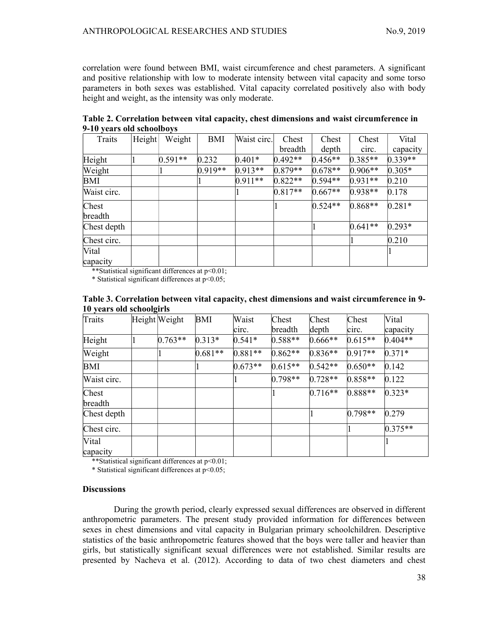correlation were found between BMI, waist circumference and chest parameters. A significant and positive relationship with low to moderate intensity between vital capacity and some torso parameters in both sexes was established. Vital capacity correlated positively also with body height and weight, as the intensity was only moderate.

| Traits      | Height | Weight    | <b>BMI</b> | Waist circ. | Chest     | Chest     | Chest     | Vital     |
|-------------|--------|-----------|------------|-------------|-----------|-----------|-----------|-----------|
|             |        |           |            |             | breadth   | depth     | circ.     | capacity  |
| Height      |        | $0.591**$ | 0.232      | $0.401*$    | $0.492**$ | $0.456**$ | $0.385**$ | $0.339**$ |
| Weight      |        |           | $0.919**$  | $0.913**$   | $0.879**$ | $0.678**$ | $0.906**$ | $0.305*$  |
| BMI         |        |           |            | $0.911**$   | $0.822**$ | $0.594**$ | $0.931**$ | 0.210     |
| Waist circ. |        |           |            |             | $0.817**$ | $0.667**$ | $0.938**$ | 0.178     |
| Chest       |        |           |            |             |           | $0.524**$ | $0.868**$ | $0.281*$  |
| breadth     |        |           |            |             |           |           |           |           |
| Chest depth |        |           |            |             |           |           | $0.641**$ | $0.293*$  |
| Chest circ. |        |           |            |             |           |           |           | 0.210     |
| Vital       |        |           |            |             |           |           |           |           |
| capacity    |        |           |            |             |           |           |           |           |

Table 2. Correlation between vital capacity, chest dimensions and waist circumference in 9-10 years old schoolboys

\*\*Statistical significant differences at  $p<0.01$ ;

\* Statistical significant differences at  $p$ <0.05;

| TO YEALS ORE SCHOOLSH 15 |               |            |           |           |           |           |           |
|--------------------------|---------------|------------|-----------|-----------|-----------|-----------|-----------|
| Traits                   | Height Weight | <b>BMI</b> | Waist     | Chest     | Chest     | Chest     | Vital     |
|                          |               |            | circ.     | breadth   | depth     | circ.     | capacity  |
| Height                   | $0.763**$     | $0.313*$   | $0.541*$  | $0.588**$ | $0.666**$ | $0.615**$ | $0.404**$ |
| Weight                   |               | $0.681**$  | $0.881**$ | $0.862**$ | $0.836**$ | $0.917**$ | $0.371*$  |
| <b>BMI</b>               |               |            | $0.673**$ | $0.615**$ | $0.542**$ | $0.650**$ | 0.142     |
| Waist circ.              |               |            |           | $0.798**$ | $0.728**$ | $0.858**$ | 0.122     |
| Chest                    |               |            |           |           | $0.716**$ | $0.888**$ | $0.323*$  |
| breadth                  |               |            |           |           |           |           |           |
| Chest depth              |               |            |           |           |           | $0.798**$ | 0.279     |
| Chest circ.              |               |            |           |           |           |           | $0.375**$ |
| Vital                    |               |            |           |           |           |           |           |
| capacity                 |               |            |           |           |           |           |           |

## Table 3. Correlation between vital capacity, chest dimensions and waist circumference in 9- 10 years old schoolgirls

\*\*Statistical significant differences at p<0.01;

\* Statistical significant differences at  $p<0.05$ ;

### **Discussions**

During the growth period, clearly expressed sexual differences are observed in different anthropometric parameters. The present study provided information for differences between sexes in chest dimensions and vital capacity in Bulgarian primary schoolchildren. Descriptive statistics of the basic anthropometric features showed that the boys were taller and heavier than girls, but statistically significant sexual differences were not established. Similar results are presented by Nacheva et al. (2012). According to data of two chest diameters and chest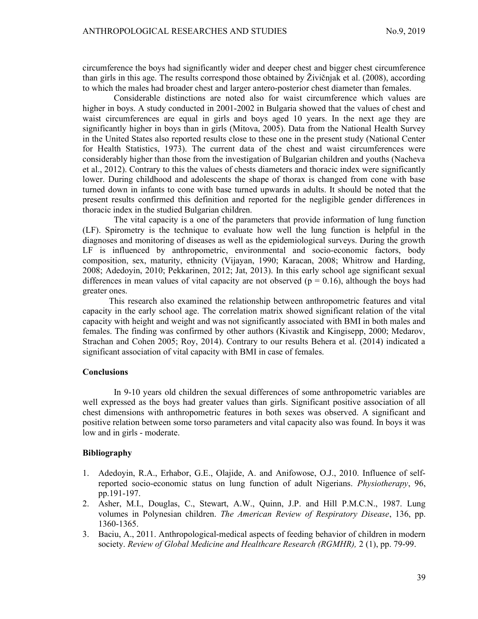circumference the boys had significantly wider and deeper chest and bigger chest circumference than girls in this age. The results correspond those obtained by  $\tilde{Z}$ ivičnjak et al. (2008), according to which the males had broader chest and larger antero-posterior chest diameter than females.

Considerable distinctions are noted also for waist circumference which values are higher in boys. A study conducted in 2001-2002 in Bulgaria showed that the values of chest and waist circumferences are equal in girls and boys aged 10 years. In the next age they are significantly higher in boys than in girls (Mitova, 2005). Data from the National Health Survey in the United States also reported results close to these one in the present study (National Center for Health Statistics, 1973). The current data of the chest and waist circumferences were considerably higher than those from the investigation of Bulgarian children and youths (Nacheva et al., 2012). Contrary to this the values of chests diameters and thoracic index were significantly lower. During childhood and adolescents the shape of thorax is changed from cone with base turned down in infants to cone with base turned upwards in adults. It should be noted that the present results confirmed this definition and reported for the negligible gender differences in thoracic index in the studied Bulgarian children.

The vital capacity is a one of the parameters that provide information of lung function (LF). Spirometry is the technique to evaluate how well the lung function is helpful in the diagnoses and monitoring of diseases as well as the epidemiological surveys. During the growth LF is influenced by anthropometric, environmental and socio-economic factors, body composition, sex, maturity, ethnicity (Vijayan, 1990; Karacan, 2008; Whitrow and Harding, 2008; Adedoyin, 2010; Pekkarinen, 2012; Jat, 2013). In this early school age significant sexual differences in mean values of vital capacity are not observed ( $p = 0.16$ ), although the boys had greater ones.

 This research also examined the relationship between anthropometric features and vital capacity in the early school age. The correlation matrix showed significant relation of the vital capacity with height and weight and was not significantly associated with BMI in both males and females. The finding was confirmed by other authors (Kivastik and Kingisepp, 2000; Medarov, Strachan and Cohen 2005; Roy, 2014). Contrary to our results Behera et al. (2014) indicated a significant association of vital capacity with BMI in case of females.

### **Conclusions**

In 9-10 years old children the sexual differences of some anthropometric variables are well expressed as the boys had greater values than girls. Significant positive association of all chest dimensions with anthropometric features in both sexes was observed. A significant and positive relation between some torso parameters and vital capacity also was found. In boys it was low and in girls - moderate.

### Bibliography

- 1. Adedoyin, R.A., Erhabor, G.E., Olajide, A. and Anifowose, O.J., 2010. Influence of selfreported socio-economic status on lung function of adult Nigerians. Physiotherapy, 96, pp.191-197.
- 2. Asher, M.I., Douglas, C., Stewart, A.W., Quinn, J.P. and Hill P.M.C.N., 1987. Lung volumes in Polynesian children. The American Review of Respiratory Disease, 136, pp. 1360-1365.
- 3. Baciu, A., 2011. Anthropological-medical aspects of feeding behavior of children in modern society. Review of Global Medicine and Healthcare Research (RGMHR), 2 (1), pp. 79-99.